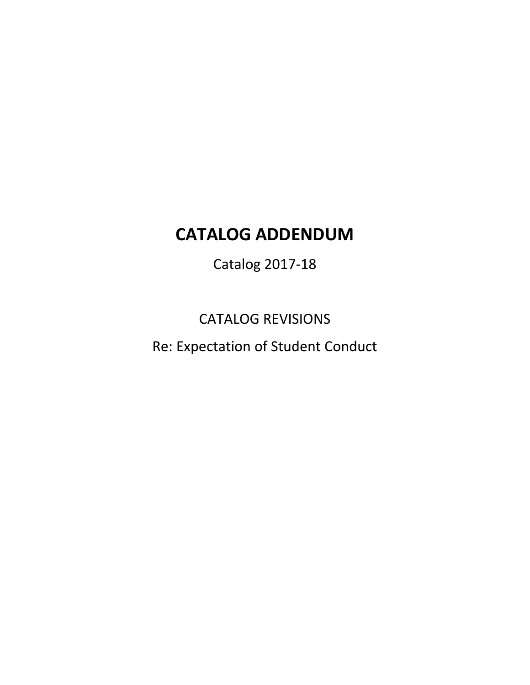# **CATALOG ADDENDUM**

Catalog 2017-18

CATALOG REVISIONS

Re: Expectation of Student Conduct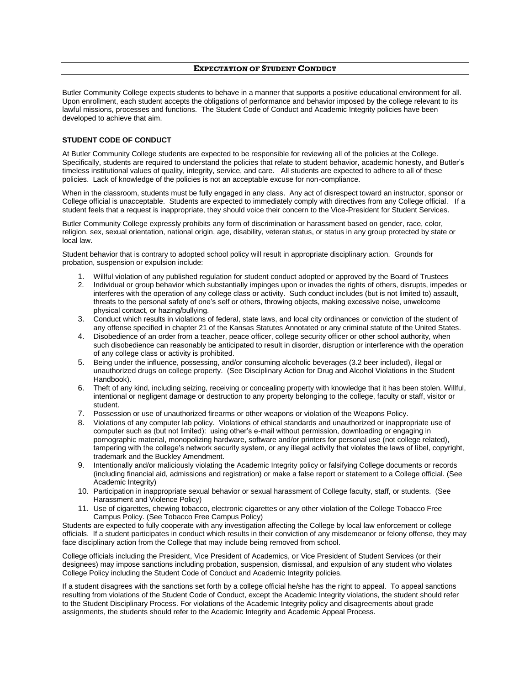Butler Community College expects students to behave in a manner that supports a positive educational environment for all. Upon enrollment, each student accepts the obligations of performance and behavior imposed by the college relevant to its lawful missions, processes and functions. The Student Code of Conduct and Academic Integrity policies have been developed to achieve that aim.

#### **STUDENT CODE OF CONDUCT**

At Butler Community College students are expected to be responsible for reviewing all of the policies at the College. Specifically, students are required to understand the policies that relate to student behavior, academic honesty, and Butler's timeless institutional values of quality, integrity, service, and care. All students are expected to adhere to all of these policies. Lack of knowledge of the policies is not an acceptable excuse for non-compliance.

When in the classroom, students must be fully engaged in any class. Any act of disrespect toward an instructor, sponsor or College official is unacceptable. Students are expected to immediately comply with directives from any College official. If a student feels that a request is inappropriate, they should voice their concern to the Vice-President for Student Services.

Butler Community College expressly prohibits any form of discrimination or harassment based on gender, race, color, religion, sex, sexual orientation, national origin, age, disability, veteran status, or status in any group protected by state or local law.

Student behavior that is contrary to adopted school policy will result in appropriate disciplinary action. Grounds for probation, suspension or expulsion include:

- 1. Willful violation of any published regulation for student conduct adopted or approved by the Board of Trustees
- 2. Individual or group behavior which substantially impinges upon or invades the rights of others, disrupts, impedes or interferes with the operation of any college class or activity. Such conduct includes (but is not limited to) assault, threats to the personal safety of one's self or others, throwing objects, making excessive noise, unwelcome physical contact, or hazing/bullying.
- 3. Conduct which results in violations of federal, state laws, and local city ordinances or conviction of the student of any offense specified in chapter 21 of the Kansas Statutes Annotated or any criminal statute of the United States.
- 4. Disobedience of an order from a teacher, peace officer, college security officer or other school authority, when such disobedience can reasonably be anticipated to result in disorder, disruption or interference with the operation of any college class or activity is prohibited.
- 5. Being under the influence, possessing, and/or consuming alcoholic beverages (3.2 beer included), illegal or unauthorized drugs on college property. (See Disciplinary Action for Drug and Alcohol Violations in the Student Handbook).
- 6. Theft of any kind, including seizing, receiving or concealing property with knowledge that it has been stolen. Willful, intentional or negligent damage or destruction to any property belonging to the college, faculty or staff, visitor or student.
- 7. Possession or use of unauthorized firearms or other weapons or violation of the Weapons Policy.
- 8. Violations of any computer lab policy. Violations of ethical standards and unauthorized or inappropriate use of computer such as (but not limited): using other's e-mail without permission, downloading or engaging in pornographic material, monopolizing hardware, software and/or printers for personal use (not college related), tampering with the college's network security system, or any illegal activity that violates the laws of libel, copyright, trademark and the Buckley Amendment.
- 9. Intentionally and/or maliciously violating the Academic Integrity policy or falsifying College documents or records (including financial aid, admissions and registration) or make a false report or statement to a College official. (See Academic Integrity)
- 10. Participation in inappropriate sexual behavior or sexual harassment of College faculty, staff, or students. (See Harassment and Violence Policy)
- 11. Use of cigarettes, chewing tobacco, electronic cigarettes or any other violation of the College Tobacco Free Campus Policy. (See Tobacco Free Campus Policy)

Students are expected to fully cooperate with any investigation affecting the College by local law enforcement or college officials. If a student participates in conduct which results in their conviction of any misdemeanor or felony offense, they may face disciplinary action from the College that may include being removed from school.

College officials including the President, Vice President of Academics, or Vice President of Student Services (or their designees) may impose sanctions including probation, suspension, dismissal, and expulsion of any student who violates College Policy including the Student Code of Conduct and Academic Integrity policies.

If a student disagrees with the sanctions set forth by a college official he/she has the right to appeal. To appeal sanctions resulting from violations of the Student Code of Conduct, except the Academic Integrity violations, the student should refer to the Student Disciplinary Process. For violations of the Academic Integrity policy and disagreements about grade assignments, the students should refer to the Academic Integrity and Academic Appeal Process.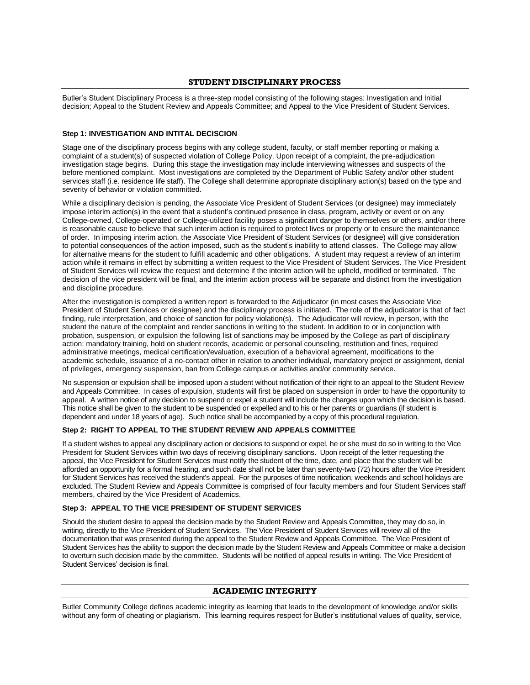# **STUDENT DISCIPLINARY PROCESS**

Butler's Student Disciplinary Process is a three-step model consisting of the following stages: Investigation and Initial decision; Appeal to the Student Review and Appeals Committee; and Appeal to the Vice President of Student Services.

# **Step 1: INVESTIGATION AND INTITAL DECISCION**

Stage one of the disciplinary process begins with any college student, faculty, or staff member reporting or making a complaint of a student(s) of suspected violation of College Policy. Upon receipt of a complaint, the pre-adjudication investigation stage begins. During this stage the investigation may include interviewing witnesses and suspects of the before mentioned complaint. Most investigations are completed by the Department of Public Safety and/or other student services staff (i.e. residence life staff). The College shall determine appropriate disciplinary action(s) based on the type and severity of behavior or violation committed.

While a disciplinary decision is pending, the Associate Vice President of Student Services (or designee) may immediately impose interim action(s) in the event that a student's continued presence in class, program, activity or event or on any College-owned, College-operated or College-utilized facility poses a significant danger to themselves or others, and/or there is reasonable cause to believe that such interim action is required to protect lives or property or to ensure the maintenance of order. In imposing interim action, the Associate Vice President of Student Services (or designee) will give consideration to potential consequences of the action imposed, such as the student's inability to attend classes. The College may allow for alternative means for the student to fulfill academic and other obligations. A student may request a review of an interim action while it remains in effect by submitting a written request to the Vice President of Student Services. The Vice President of Student Services will review the request and determine if the interim action will be upheld, modified or terminated. The decision of the vice president will be final, and the interim action process will be separate and distinct from the investigation and discipline procedure.

After the investigation is completed a written report is forwarded to the Adjudicator (in most cases the Associate Vice President of Student Services or designee) and the disciplinary process is initiated. The role of the adjudicator is that of fact finding, rule interpretation, and choice of sanction for policy violation(s). The Adjudicator will review, in person, with the student the nature of the complaint and render sanctions in writing to the student. In addition to or in conjunction with probation, suspension, or expulsion the following list of sanctions may be imposed by the College as part of disciplinary action: mandatory training, hold on student records, academic or personal counseling, restitution and fines, required administrative meetings, medical certification/evaluation, execution of a behavioral agreement, modifications to the academic schedule, issuance of a no-contact other in relation to another individual, mandatory project or assignment, denial of privileges, emergency suspension, ban from College campus or activities and/or community service.

No suspension or expulsion shall be imposed upon a student without notification of their right to an appeal to the Student Review and Appeals Committee. In cases of expulsion, students will first be placed on suspension in order to have the opportunity to appeal. A written notice of any decision to suspend or expel a student will include the charges upon which the decision is based. This notice shall be given to the student to be suspended or expelled and to his or her parents or guardians (if student is dependent and under 18 years of age). Such notice shall be accompanied by a copy of this procedural regulation.

#### **Step 2: RIGHT TO APPEAL TO THE STUDENT REVIEW AND APPEALS COMMITTEE**

If a student wishes to appeal any disciplinary action or decisions to suspend or expel, he or she must do so in writing to the Vice President for Student Services within two days of receiving disciplinary sanctions. Upon receipt of the letter requesting the appeal, the Vice President for Student Services must notify the student of the time, date, and place that the student will be afforded an opportunity for a formal hearing, and such date shall not be later than seventy-two (72) hours after the Vice President for Student Services has received the student's appeal. For the purposes of time notification, weekends and school holidays are excluded. The Student Review and Appeals Committee is comprised of four faculty members and four Student Services staff members, chaired by the Vice President of Academics.

# **Step 3: APPEAL TO THE VICE PRESIDENT OF STUDENT SERVICES**

Should the student desire to appeal the decision made by the Student Review and Appeals Committee, they may do so, in writing, directly to the Vice President of Student Services. The Vice President of Student Services will review all of the documentation that was presented during the appeal to the Student Review and Appeals Committee. The Vice President of Student Services has the ability to support the decision made by the Student Review and Appeals Committee or make a decision to overturn such decision made by the committee. Students will be notified of appeal results in writing. The Vice President of Student Services' decision is final.

# **ACADEMIC INTEGRITY**

Butler Community College defines academic integrity as learning that leads to the development of knowledge and/or skills without any form of cheating or plagiarism. This learning requires respect for Butler's institutional values of quality, service,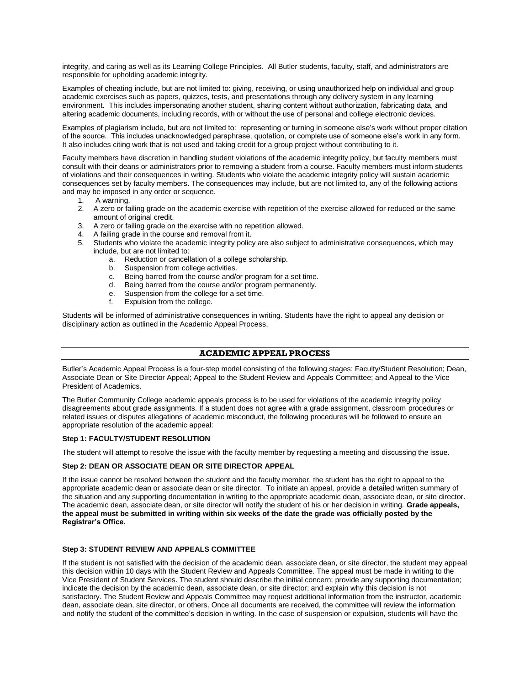integrity, and caring as well as its Learning College Principles. All Butler students, faculty, staff, and administrators are responsible for upholding academic integrity.

Examples of cheating include, but are not limited to: giving, receiving, or using unauthorized help on individual and group academic exercises such as papers, quizzes, tests, and presentations through any delivery system in any learning environment. This includes impersonating another student, sharing content without authorization, fabricating data, and altering academic documents, including records, with or without the use of personal and college electronic devices.

Examples of plagiarism include, but are not limited to: representing or turning in someone else's work without proper citation of the source. This includes unacknowledged paraphrase, quotation, or complete use of someone else's work in any form. It also includes citing work that is not used and taking credit for a group project without contributing to it.

Faculty members have discretion in handling student violations of the academic integrity policy, but faculty members must consult with their deans or administrators prior to removing a student from a course. Faculty members must inform students of violations and their consequences in writing. Students who violate the academic integrity policy will sustain academic consequences set by faculty members. The consequences may include, but are not limited to, any of the following actions and may be imposed in any order or sequence.

- 1. A warning.
- 2. A zero or failing grade on the academic exercise with repetition of the exercise allowed for reduced or the same amount of original credit.
- 3. A zero or failing grade on the exercise with no repetition allowed.
- 4. A failing grade in the course and removal from it.
- 5. Students who violate the academic integrity policy are also subject to administrative consequences, which may include, but are not limited to:
	- a. Reduction or cancellation of a college scholarship.
	- b. Suspension from college activities.
	- c. Being barred from the course and/or program for a set time.<br>d. Being barred from the course and/or program permanently.
	- Being barred from the course and/or program permanently.
	- e. Suspension from the college for a set time.
	- f. Expulsion from the college.

Students will be informed of administrative consequences in writing. Students have the right to appeal any decision or disciplinary action as outlined in the Academic Appeal Process.

# **ACADEMIC APPEAL PROCESS**

Butler's Academic Appeal Process is a four-step model consisting of the following stages: Faculty/Student Resolution; Dean, Associate Dean or Site Director Appeal; Appeal to the Student Review and Appeals Committee; and Appeal to the Vice President of Academics.

The Butler Community College academic appeals process is to be used for violations of the academic integrity policy disagreements about grade assignments. If a student does not agree with a grade assignment, classroom procedures or related issues or disputes allegations of academic misconduct, the following procedures will be followed to ensure an appropriate resolution of the academic appeal:

#### **Step 1: FACULTY/STUDENT RESOLUTION**

The student will attempt to resolve the issue with the faculty member by requesting a meeting and discussing the issue.

#### **Step 2: DEAN OR ASSOCIATE DEAN OR SITE DIRECTOR APPEAL**

If the issue cannot be resolved between the student and the faculty member, the student has the right to appeal to the appropriate academic dean or associate dean or site director. To initiate an appeal, provide a detailed written summary of the situation and any supporting documentation in writing to the appropriate academic dean, associate dean, or site director. The academic dean, associate dean, or site director will notify the student of his or her decision in writing. **Grade appeals, the appeal must be submitted in writing within six weeks of the date the grade was officially posted by the Registrar's Office.**

# **Step 3: STUDENT REVIEW AND APPEALS COMMITTEE**

If the student is not satisfied with the decision of the academic dean, associate dean, or site director, the student may appeal this decision within 10 days with the Student Review and Appeals Committee. The appeal must be made in writing to the Vice President of Student Services. The student should describe the initial concern; provide any supporting documentation; indicate the decision by the academic dean, associate dean, or site director; and explain why this decision is not satisfactory. The Student Review and Appeals Committee may request additional information from the instructor, academic dean, associate dean, site director, or others. Once all documents are received, the committee will review the information and notify the student of the committee's decision in writing. In the case of suspension or expulsion, students will have the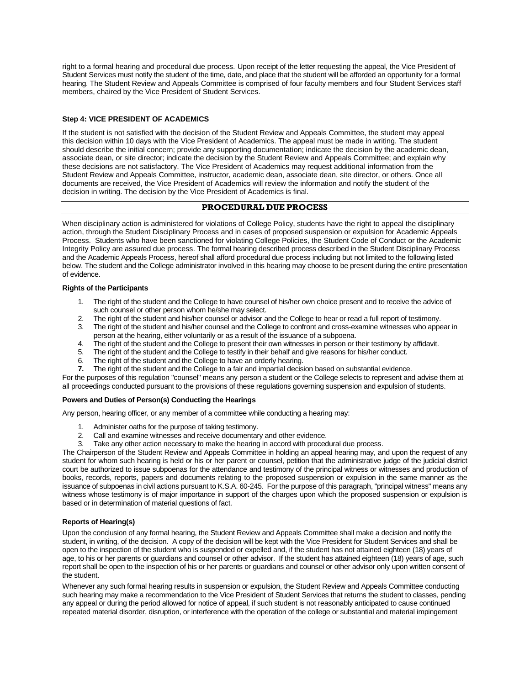right to a formal hearing and procedural due process. Upon receipt of the letter requesting the appeal, the Vice President of Student Services must notify the student of the time, date, and place that the student will be afforded an opportunity for a formal hearing. The Student Review and Appeals Committee is comprised of four faculty members and four Student Services staff members, chaired by the Vice President of Student Services.

# **Step 4: VICE PRESIDENT OF ACADEMICS**

If the student is not satisfied with the decision of the Student Review and Appeals Committee, the student may appeal this decision within 10 days with the Vice President of Academics. The appeal must be made in writing. The student should describe the initial concern; provide any supporting documentation; indicate the decision by the academic dean, associate dean, or site director; indicate the decision by the Student Review and Appeals Committee; and explain why these decisions are not satisfactory. The Vice President of Academics may request additional information from the Student Review and Appeals Committee, instructor, academic dean, associate dean, site director, or others. Once all documents are received, the Vice President of Academics will review the information and notify the student of the decision in writing. The decision by the Vice President of Academics is final.

# **PROCEDURAL DUE PROCESS**

When disciplinary action is administered for violations of College Policy, students have the right to appeal the disciplinary action, through the Student Disciplinary Process and in cases of proposed suspension or expulsion for Academic Appeals Process. Students who have been sanctioned for violating College Policies, the Student Code of Conduct or the Academic Integrity Policy are assured due process. The formal hearing described process described in the Student Disciplinary Process and the Academic Appeals Process, hereof shall afford procedural due process including but not limited to the following listed below. The student and the College administrator involved in this hearing may choose to be present during the entire presentation of evidence.

#### **Rights of the Participants**

- 1. The right of the student and the College to have counsel of his/her own choice present and to receive the advice of such counsel or other person whom he/she may select.
- 2. The right of the student and his/her counsel or advisor and the College to hear or read a full report of testimony.
- 3. The right of the student and his/her counsel and the College to confront and cross-examine witnesses who appear in person at the hearing, either voluntarily or as a result of the issuance of a subpoena.
- 4. The right of the student and the College to present their own witnesses in person or their testimony by affidavit.<br>5. The right of the student and the College to testify in their behalf and give reasons for his/her cond
- The right of the student and the College to testify in their behalf and give reasons for his/her conduct.
- 6. The right of the student and the College to have an orderly hearing.<br>7. The right of the student and the College to a fair and impartial decisi-
- **7.** The right of the student and the College to a fair and impartial decision based on substantial evidence.

For the purposes of this regulation "counsel" means any person a student or the College selects to represent and advise them at all proceedings conducted pursuant to the provisions of these regulations governing suspension and expulsion of students.

# **Powers and Duties of Person(s) Conducting the Hearings**

Any person, hearing officer, or any member of a committee while conducting a hearing may:

- 1. Administer oaths for the purpose of taking testimony.
- 2. Call and examine witnesses and receive documentary and other evidence.
- 3. Take any other action necessary to make the hearing in accord with procedural due process.

The Chairperson of the Student Review and Appeals Committee in holding an appeal hearing may, and upon the request of any student for whom such hearing is held or his or her parent or counsel, petition that the administrative judge of the judicial district court be authorized to issue subpoenas for the attendance and testimony of the principal witness or witnesses and production of books, records, reports, papers and documents relating to the proposed suspension or expulsion in the same manner as the issuance of subpoenas in civil actions pursuant to K.S.A. 60-245. For the purpose of this paragraph, "principal witness" means any witness whose testimony is of major importance in support of the charges upon which the proposed suspension or expulsion is based or in determination of material questions of fact.

# **Reports of Hearing(s)**

Upon the conclusion of any formal hearing, the Student Review and Appeals Committee shall make a decision and notify the student, in writing, of the decision. A copy of the decision will be kept with the Vice President for Student Services and shall be open to the inspection of the student who is suspended or expelled and, if the student has not attained eighteen (18) years of age, to his or her parents or guardians and counsel or other advisor. If the student has attained eighteen (18) years of age, such report shall be open to the inspection of his or her parents or guardians and counsel or other advisor only upon written consent of the student.

Whenever any such formal hearing results in suspension or expulsion, the Student Review and Appeals Committee conducting such hearing may make a recommendation to the Vice President of Student Services that returns the student to classes, pending any appeal or during the period allowed for notice of appeal, if such student is not reasonably anticipated to cause continued repeated material disorder, disruption, or interference with the operation of the college or substantial and material impingement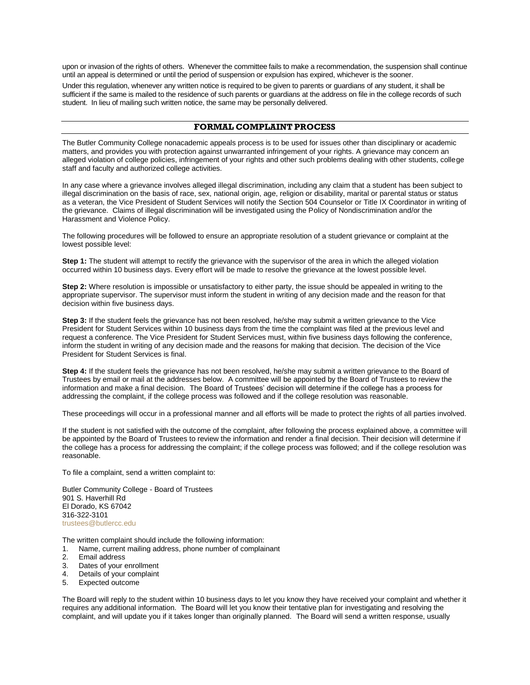upon or invasion of the rights of others. Whenever the committee fails to make a recommendation, the suspension shall continue until an appeal is determined or until the period of suspension or expulsion has expired, whichever is the sooner.

Under this regulation, whenever any written notice is required to be given to parents or guardians of any student, it shall be sufficient if the same is mailed to the residence of such parents or guardians at the address on file in the college records of such student. In lieu of mailing such written notice, the same may be personally delivered.

# **FORMAL COMPLAINT PROCESS**

The Butler Community College nonacademic appeals process is to be used for issues other than disciplinary or academic matters, and provides you with protection against unwarranted infringement of your rights. A grievance may concern an alleged violation of college policies, infringement of your rights and other such problems dealing with other students, college staff and faculty and authorized college activities.

In any case where a grievance involves alleged illegal discrimination, including any claim that a student has been subject to illegal discrimination on the basis of race, sex, national origin, age, religion or disability, marital or parental status or status as a veteran, the Vice President of Student Services will notify the Section 504 Counselor or Title IX Coordinator in writing of the grievance. Claims of illegal discrimination will be investigated using the Policy of Nondiscrimination and/or the Harassment and Violence Policy.

The following procedures will be followed to ensure an appropriate resolution of a student grievance or complaint at the lowest possible level:

**Step 1:** The student will attempt to rectify the grievance with the supervisor of the area in which the alleged violation occurred within 10 business days. Every effort will be made to resolve the grievance at the lowest possible level.

**Step 2:** Where resolution is impossible or unsatisfactory to either party, the issue should be appealed in writing to the appropriate supervisor. The supervisor must inform the student in writing of any decision made and the reason for that decision within five business days.

**Step 3:** If the student feels the grievance has not been resolved, he/she may submit a written grievance to the Vice President for Student Services within 10 business days from the time the complaint was filed at the previous level and request a conference. The Vice President for Student Services must, within five business days following the conference, inform the student in writing of any decision made and the reasons for making that decision. The decision of the Vice President for Student Services is final.

**Step 4:** If the student feels the grievance has not been resolved, he/she may submit a written grievance to the Board of Trustees by email or mail at the addresses below. A committee will be appointed by the Board of Trustees to review the information and make a final decision. The Board of Trustees' decision will determine if the college has a process for addressing the complaint, if the college process was followed and if the college resolution was reasonable.

These proceedings will occur in a professional manner and all efforts will be made to protect the rights of all parties involved.

If the student is not satisfied with the outcome of the complaint, after following the process explained above, a committee will be appointed by the Board of Trustees to review the information and render a final decision. Their decision will determine if the college has a process for addressing the complaint; if the college process was followed; and if the college resolution was reasonable.

To file a complaint, send a written complaint to:

Butler Community College - Board of Trustees 901 S. Haverhill Rd El Dorado, KS 67042 316-322-3101 [trustees@butlercc.edu](mailto:trustees@butlercc.edu)

The written complaint should include the following information:

- 1. Name, current mailing address, phone number of complainant
- 2. Email address
- 3. Dates of your enrollment
- 4. Details of your complaint
- 5. Expected outcome

The Board will reply to the student within 10 business days to let you know they have received your complaint and whether it requires any additional information. The Board will let you know their tentative plan for investigating and resolving the complaint, and will update you if it takes longer than originally planned. The Board will send a written response, usually